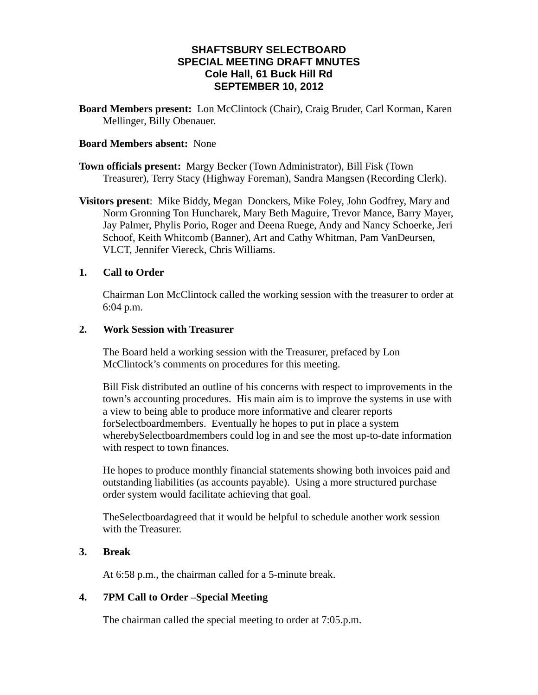# **SHAFTSBURY SELECTBOARD SPECIAL MEETING DRAFT MNUTES Cole Hall, 61 Buck Hill Rd SEPTEMBER 10, 2012**

**Board Members present:** Lon McClintock (Chair), Craig Bruder, Carl Korman, Karen Mellinger, Billy Obenauer.

#### **Board Members absent:** None

**Town officials present:** Margy Becker (Town Administrator), Bill Fisk (Town Treasurer), Terry Stacy (Highway Foreman), Sandra Mangsen (Recording Clerk).

**Visitors present**: Mike Biddy, Megan Donckers, Mike Foley, John Godfrey, Mary and Norm Gronning Ton Huncharek, Mary Beth Maguire, Trevor Mance, Barry Mayer, Jay Palmer, Phylis Porio, Roger and Deena Ruege, Andy and Nancy Schoerke, Jeri Schoof, Keith Whitcomb (Banner), Art and Cathy Whitman, Pam VanDeursen, VLCT, Jennifer Viereck, Chris Williams.

## **1. Call to Order**

Chairman Lon McClintock called the working session with the treasurer to order at 6:04 p.m.

### **2. Work Session with Treasurer**

The Board held a working session with the Treasurer, prefaced by Lon McClintock's comments on procedures for this meeting.

Bill Fisk distributed an outline of his concerns with respect to improvements in the town's accounting procedures. His main aim is to improve the systems in use with a view to being able to produce more informative and clearer reports forSelectboardmembers. Eventually he hopes to put in place a system wherebySelectboardmembers could log in and see the most up-to-date information with respect to town finances.

He hopes to produce monthly financial statements showing both invoices paid and outstanding liabilities (as accounts payable). Using a more structured purchase order system would facilitate achieving that goal.

TheSelectboardagreed that it would be helpful to schedule another work session with the Treasurer.

### **3. Break**

At 6:58 p.m., the chairman called for a 5-minute break.

### **4. 7PM Call to Order –Special Meeting**

The chairman called the special meeting to order at 7:05.p.m.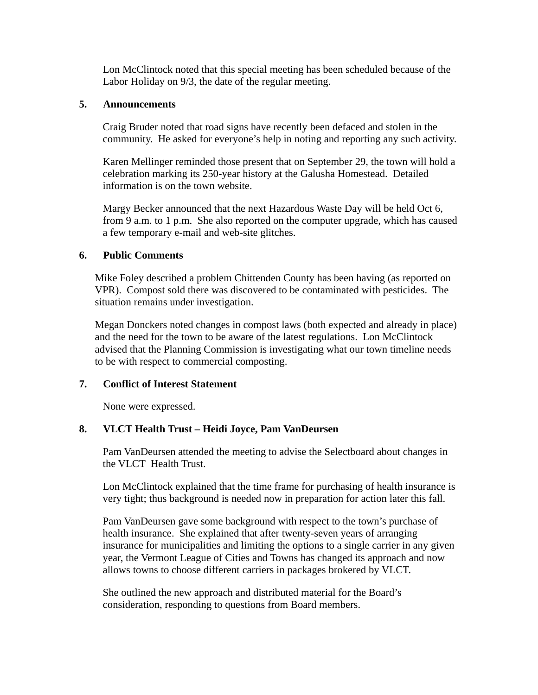Lon McClintock noted that this special meeting has been scheduled because of the Labor Holiday on 9/3, the date of the regular meeting.

#### **5. Announcements**

Craig Bruder noted that road signs have recently been defaced and stolen in the community. He asked for everyone's help in noting and reporting any such activity.

Karen Mellinger reminded those present that on September 29, the town will hold a celebration marking its 250-year history at the Galusha Homestead. Detailed information is on the town website.

Margy Becker announced that the next Hazardous Waste Day will be held Oct 6, from 9 a.m. to 1 p.m. She also reported on the computer upgrade, which has caused a few temporary e-mail and web-site glitches.

### **6. Public Comments**

Mike Foley described a problem Chittenden County has been having (as reported on VPR). Compost sold there was discovered to be contaminated with pesticides. The situation remains under investigation.

Megan Donckers noted changes in compost laws (both expected and already in place) and the need for the town to be aware of the latest regulations. Lon McClintock advised that the Planning Commission is investigating what our town timeline needs to be with respect to commercial composting.

### **7. Conflict of Interest Statement**

None were expressed.

### **8. VLCT Health Trust – Heidi Joyce, Pam VanDeursen**

Pam VanDeursen attended the meeting to advise the Selectboard about changes in the VLCT Health Trust.

Lon McClintock explained that the time frame for purchasing of health insurance is very tight; thus background is needed now in preparation for action later this fall.

Pam VanDeursen gave some background with respect to the town's purchase of health insurance. She explained that after twenty-seven years of arranging insurance for municipalities and limiting the options to a single carrier in any given year, the Vermont League of Cities and Towns has changed its approach and now allows towns to choose different carriers in packages brokered by VLCT.

She outlined the new approach and distributed material for the Board's consideration, responding to questions from Board members.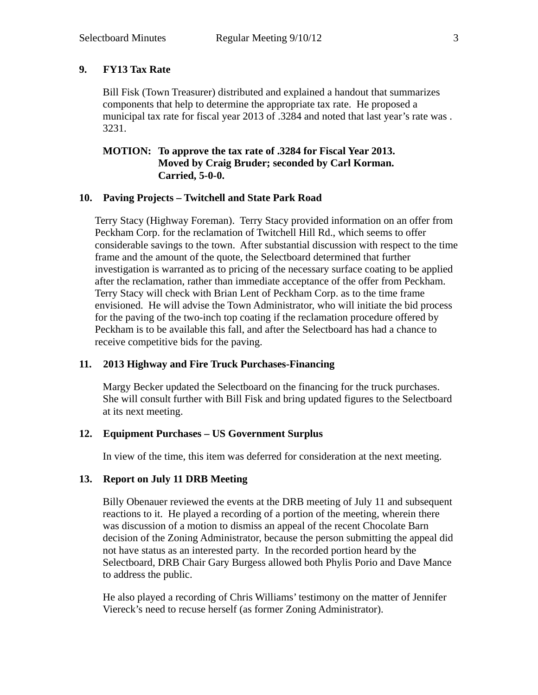## **9. FY13 Tax Rate**

Bill Fisk (Town Treasurer) distributed and explained a handout that summarizes components that help to determine the appropriate tax rate. He proposed a municipal tax rate for fiscal year 2013 of .3284 and noted that last year's rate was . 3231.

## **MOTION: To approve the tax rate of .3284 for Fiscal Year 2013. Moved by Craig Bruder; seconded by Carl Korman. Carried, 5-0-0.**

### **10. Paving Projects – Twitchell and State Park Road**

Terry Stacy (Highway Foreman). Terry Stacy provided information on an offer from Peckham Corp. for the reclamation of Twitchell Hill Rd., which seems to offer considerable savings to the town. After substantial discussion with respect to the time frame and the amount of the quote, the Selectboard determined that further investigation is warranted as to pricing of the necessary surface coating to be applied after the reclamation, rather than immediate acceptance of the offer from Peckham. Terry Stacy will check with Brian Lent of Peckham Corp. as to the time frame envisioned. He will advise the Town Administrator, who will initiate the bid process for the paving of the two-inch top coating if the reclamation procedure offered by Peckham is to be available this fall, and after the Selectboard has had a chance to receive competitive bids for the paving.

### **11. 2013 Highway and Fire Truck Purchases-Financing**

Margy Becker updated the Selectboard on the financing for the truck purchases. She will consult further with Bill Fisk and bring updated figures to the Selectboard at its next meeting.

## **12. Equipment Purchases – US Government Surplus**

In view of the time, this item was deferred for consideration at the next meeting.

## **13. Report on July 11 DRB Meeting**

Billy Obenauer reviewed the events at the DRB meeting of July 11 and subsequent reactions to it. He played a recording of a portion of the meeting, wherein there was discussion of a motion to dismiss an appeal of the recent Chocolate Barn decision of the Zoning Administrator, because the person submitting the appeal did not have status as an interested party. In the recorded portion heard by the Selectboard, DRB Chair Gary Burgess allowed both Phylis Porio and Dave Mance to address the public.

He also played a recording of Chris Williams' testimony on the matter of Jennifer Viereck's need to recuse herself (as former Zoning Administrator).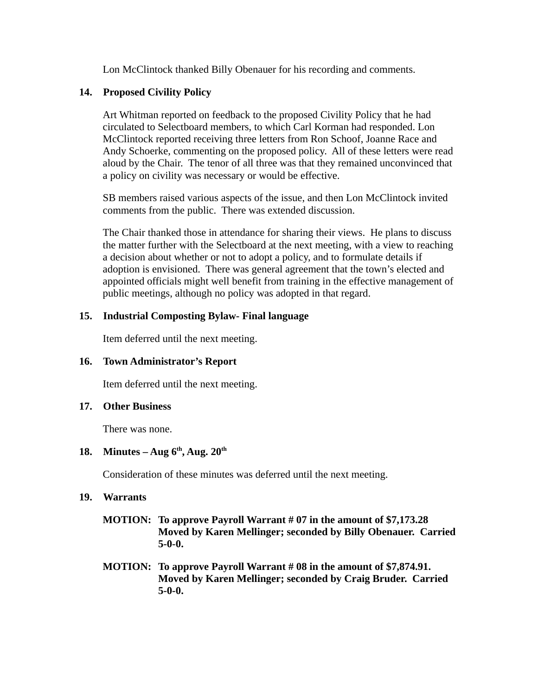Lon McClintock thanked Billy Obenauer for his recording and comments.

# **14. Proposed Civility Policy**

Art Whitman reported on feedback to the proposed Civility Policy that he had circulated to Selectboard members, to which Carl Korman had responded. Lon McClintock reported receiving three letters from Ron Schoof, Joanne Race and Andy Schoerke, commenting on the proposed policy. All of these letters were read aloud by the Chair. The tenor of all three was that they remained unconvinced that a policy on civility was necessary or would be effective.

SB members raised various aspects of the issue, and then Lon McClintock invited comments from the public. There was extended discussion.

The Chair thanked those in attendance for sharing their views. He plans to discuss the matter further with the Selectboard at the next meeting, with a view to reaching a decision about whether or not to adopt a policy, and to formulate details if adoption is envisioned. There was general agreement that the town's elected and appointed officials might well benefit from training in the effective management of public meetings, although no policy was adopted in that regard.

# **15. Industrial Composting Bylaw- Final language**

Item deferred until the next meeting.

# **16. Town Administrator's Report**

Item deferred until the next meeting.

### **17. Other Business**

There was none.

# **18.** Minutes – Aug  $6^{th}$ , Aug.  $20^{th}$

Consideration of these minutes was deferred until the next meeting.

### **19. Warrants**

- **MOTION: To approve Payroll Warrant # 07 in the amount of \$7,173.28 Moved by Karen Mellinger; seconded by Billy Obenauer. Carried 5-0-0.**
- **MOTION: To approve Payroll Warrant # 08 in the amount of \$7,874.91. Moved by Karen Mellinger; seconded by Craig Bruder. Carried 5-0-0.**